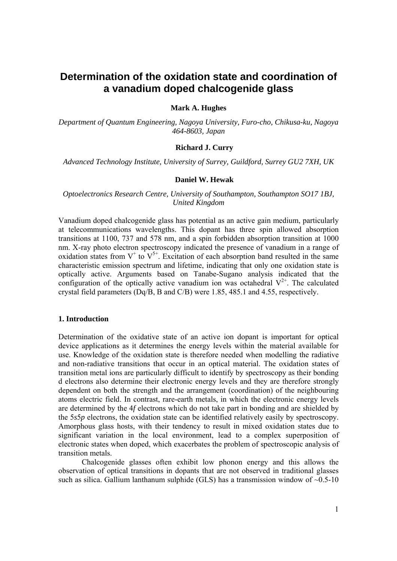# **Determination of the oxidation state and coordination of a vanadium doped chalcogenide glass**

# **Mark A. Hughes**

*Department of Quantum Engineering, Nagoya University, Furo-cho, Chikusa-ku, Nagoya 464-8603, Japan* 

## **Richard J. Curry**

*Advanced Technology Institute, University of Surrey, Guildford, Surrey GU2 7XH, UK* 

# **Daniel W. Hewak**

# *Optoelectronics Research Centre, University of Southampton, Southampton SO17 1BJ, United Kingdom*

Vanadium doped chalcogenide glass has potential as an active gain medium, particularly at telecommunications wavelengths. This dopant has three spin allowed absorption transitions at 1100, 737 and 578 nm, and a spin forbidden absorption transition at 1000 nm. X-ray photo electron spectroscopy indicated the presence of vanadium in a range of oxidation states from  $V^+$  to  $V^{5+}$ . Excitation of each absorption band resulted in the same characteristic emission spectrum and lifetime, indicating that only one oxidation state is optically active. Arguments based on Tanabe-Sugano analysis indicated that the configuration of the optically active vanadium ion was octahedral  $V^{2+}$ . The calculated crystal field parameters (Dq/B, B and C/B) were 1.85, 485.1 and 4.55, respectively.

# **1. Introduction**

Determination of the oxidative state of an active ion dopant is important for optical device applications as it determines the energy levels within the material available for use. Knowledge of the oxidation state is therefore needed when modelling the radiative and non-radiative transitions that occur in an optical material. The oxidation states of transition metal ions are particularly difficult to identify by spectroscopy as their bonding d electrons also determine their electronic energy levels and they are therefore strongly dependent on both the strength and the arrangement (coordination) of the neighbouring atoms electric field. In contrast, rare-earth metals, in which the electronic energy levels are determined by the 4*f* electrons which do not take part in bonding and are shielded by the 5*s*5*p* electrons, the oxidation state can be identified relatively easily by spectroscopy. Amorphous glass hosts, with their tendency to result in mixed oxidation states due to significant variation in the local environment, lead to a complex superposition of electronic states when doped, which exacerbates the problem of spectroscopic analysis of transition metals.

 Chalcogenide glasses often exhibit low phonon energy and this allows the observation of optical transitions in dopants that are not observed in traditional glasses such as silica. Gallium lanthanum sulphide (GLS) has a transmission window of  $\sim 0.5$ -10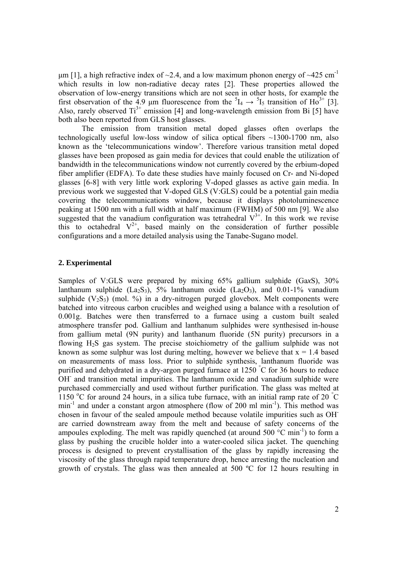μm [1], a high refractive index of  $\sim$ 2.4, and a low maximum phonon energy of  $\sim$ 425 cm<sup>-1</sup> which results in low non-radiative decay rates [2]. These properties allowed the observation of low-energy transitions which are not seen in other hosts, for example the first observation of the 4.9  $\mu$ m fluorescence from the  ${}^{5}I_4 \rightarrow {}^{5}I_5$  transition of Ho<sup>3+</sup> [3]. Also, rarely observed  $Ti^{3+}$  emission [4] and long-wavelength emission from Bi [5] have both also been reported from GLS host glasses.

 The emission from transition metal doped glasses often overlaps the technologically useful low-loss window of silica optical fibers ~1300-1700 nm, also known as the 'telecommunications window'. Therefore various transition metal doped glasses have been proposed as gain media for devices that could enable the utilization of bandwidth in the telecommunications window not currently covered by the erbium-doped fiber amplifier (EDFA). To date these studies have mainly focused on Cr- and Ni-doped glasses [6-8] with very little work exploring V-doped glasses as active gain media. In previous work we suggested that V-doped GLS (V:GLS) could be a potential gain media covering the telecommunications window, because it displays photoluminescence peaking at 1500 nm with a full width at half maximum (FWHM) of 500 nm [9]. We also suggested that the vanadium configuration was tetrahedral  $V^{3+}$ . In this work we revise this to octahedral  $V^{2+}$ , based mainly on the consideration of further possible configurations and a more detailed analysis using the Tanabe-Sugano model.

# **2. Experimental**

Samples of V:GLS were prepared by mixing 65% gallium sulphide (Ga*x*S), 30% lanthanum sulphide  $(La_2S_3)$ , 5% lanthanum oxide  $(La_2O_3)$ , and 0.01-1% vanadium sulphide  $(V_2S_3)$  (mol. %) in a dry-nitrogen purged glovebox. Melt components were batched into vitreous carbon crucibles and weighed using a balance with a resolution of 0.001g. Batches were then transferred to a furnace using a custom built sealed atmosphere transfer pod. Gallium and lanthanum sulphides were synthesised in-house from gallium metal (9N purity) and lanthanum fluoride (5N purity) precursors in a flowing H2S gas system. The precise stoichiometry of the gallium sulphide was not known as some sulphur was lost during melting, however we believe that  $x = 1.4$  based on measurements of mass loss. Prior to sulphide synthesis, lanthanum fluoride was purified and dehydrated in a dry-argon purged furnace at 1250 ° C for 36 hours to reduce OH<sup>-</sup> and transition metal impurities. The lanthanum oxide and vanadium sulphide were purchased commercially and used without further purification. The glass was melted at 1150 °C for around 24 hours, in a silica tube furnace, with an initial ramp rate of 20  $\degree$ C  $min^{-1}$  and under a constant argon atmosphere (flow of 200 ml  $min^{-1}$ ). This method was chosen in favour of the sealed ampoule method because volatile impurities such as OHare carried downstream away from the melt and because of safety concerns of the ampoules exploding. The melt was rapidly quenched (at around  $500^{\circ}$ C min<sup>-1</sup>) to form a glass by pushing the crucible holder into a water-cooled silica jacket. The quenching process is designed to prevent crystallisation of the glass by rapidly increasing the viscosity of the glass through rapid temperature drop, hence arresting the nucleation and growth of crystals. The glass was then annealed at 500 ºC for 12 hours resulting in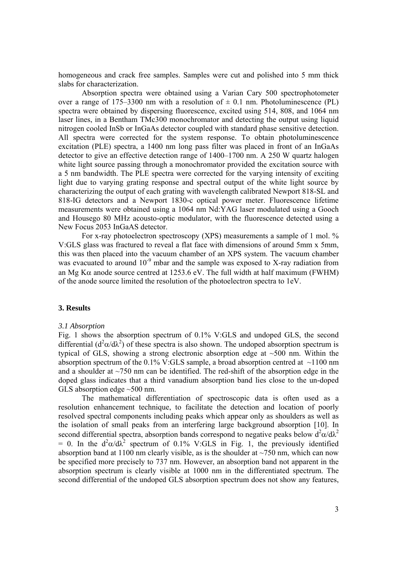homogeneous and crack free samples. Samples were cut and polished into 5 mm thick slabs for characterization.

 Absorption spectra were obtained using a Varian Cary 500 spectrophotometer over a range of 175–3300 nm with a resolution of  $\pm$  0.1 nm. Photoluminescence (PL) spectra were obtained by dispersing fluorescence, excited using 514, 808, and 1064 nm laser lines, in a Bentham TMc300 monochromator and detecting the output using liquid nitrogen cooled InSb or InGaAs detector coupled with standard phase sensitive detection. All spectra were corrected for the system response. To obtain photoluminescence excitation (PLE) spectra, a 1400 nm long pass filter was placed in front of an InGaAs detector to give an effective detection range of 1400–1700 nm. A 250 W quartz halogen white light source passing through a monochromator provided the excitation source with a 5 nm bandwidth. The PLE spectra were corrected for the varying intensity of exciting light due to varying grating response and spectral output of the white light source by characterizing the output of each grating with wavelength calibrated Newport 818-SL and 818-IG detectors and a Newport 1830-c optical power meter. Fluorescence lifetime measurements were obtained using a 1064 nm Nd:YAG laser modulated using a Gooch and Housego 80 MHz acousto-optic modulator, with the fluorescence detected using a New Focus 2053 InGaAS detector.

 For x-ray photoelectron spectroscopy (XPS) measurements a sample of 1 mol. % V:GLS glass was fractured to reveal a flat face with dimensions of around 5mm x 5mm, this was then placed into the vacuum chamber of an XPS system. The vacuum chamber was evacuated to around  $10^{-9}$  mbar and the sample was exposed to X-ray radiation from an Mg K $\alpha$  anode source centred at 1253.6 eV. The full width at half maximum (FWHM) of the anode source limited the resolution of the photoelectron spectra to 1eV.

#### **3. Results**

#### *3.1 Absorption*

Fig. 1 shows the absorption spectrum of 0.1% V:GLS and undoped GLS, the second differential  $(d^2\alpha/d\lambda^2)$  of these spectra is also shown. The undoped absorption spectrum is typical of GLS, showing a strong electronic absorption edge at ~500 nm. Within the absorption spectrum of the  $0.1\%$  V:GLS sample, a broad absorption centred at  $\sim$ 1100 nm and a shoulder at ~750 nm can be identified. The red-shift of the absorption edge in the doped glass indicates that a third vanadium absorption band lies close to the un-doped GLS absorption edge ~500 nm.

 The mathematical differentiation of spectroscopic data is often used as a resolution enhancement technique, to facilitate the detection and location of poorly resolved spectral components including peaks which appear only as shoulders as well as the isolation of small peaks from an interfering large background absorption [10]. In second differential spectra, absorption bands correspond to negative peaks below  $d^2\alpha/d\lambda^2$ = 0. In the  $d^2\alpha/d\lambda^2$  spectrum of 0.1% V:GLS in Fig. 1, the previously identified absorption band at 1100 nm clearly visible, as is the shoulder at  $\sim$ 750 nm, which can now be specified more precisely to 737 nm. However, an absorption band not apparent in the absorption spectrum is clearly visible at 1000 nm in the differentiated spectrum. The second differential of the undoped GLS absorption spectrum does not show any features,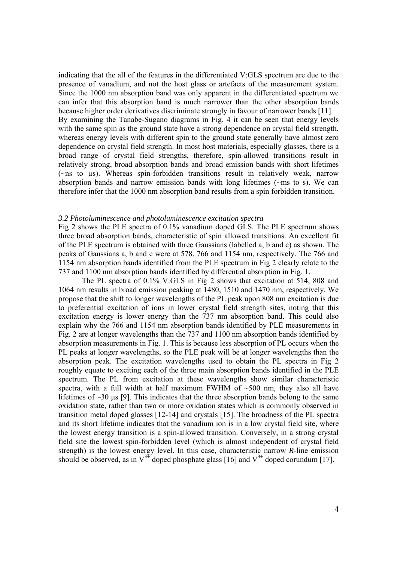indicating that the all of the features in the differentiated V:GLS spectrum are due to the presence of vanadium, and not the host glass or artefacts of the measurement system. Since the 1000 nm absorption band was only apparent in the differentiated spectrum we can infer that this absorption band is much narrower than the other absorption bands because higher order derivatives discriminate strongly in favour of narrower bands [11]. By examining the Tanabe-Sugano diagrams in Fig. 4 it can be seen that energy levels with the same spin as the ground state have a strong dependence on crystal field strength, whereas energy levels with different spin to the ground state generally have almost zero dependence on crystal field strength. In most host materials, especially glasses, there is a broad range of crystal field strengths, therefore, spin-allowed transitions result in relatively strong, broad absorption bands and broad emission bands with short lifetimes (~ns to µs). Whereas spin-forbidden transitions result in relatively weak, narrow absorption bands and narrow emission bands with long lifetimes (~ms to s). We can therefore infer that the 1000 nm absorption band results from a spin forbidden transition.

### *3.2 Photoluminescence and photoluminescence excitation spectra*

Fig 2 shows the PLE spectra of 0.1% vanadium doped GLS. The PLE spectrum shows three broad absorption bands, characteristic of spin allowed transitions. An excellent fit of the PLE spectrum is obtained with three Gaussians (labelled a, b and c) as shown. The peaks of Gaussians a, b and c were at 578, 766 and 1154 nm, respectively. The 766 and 1154 nm absorption bands identified from the PLE spectrum in Fig 2 clearly relate to the 737 and 1100 nm absorption bands identified by differential absorption in Fig. 1.

The PL spectra of 0.1% V:GLS in Fig 2 shows that excitation at 514, 808 and 1064 nm results in broad emission peaking at 1480, 1510 and 1470 nm, respectively. We propose that the shift to longer wavelengths of the PL peak upon 808 nm excitation is due to preferential excitation of ions in lower crystal field strength sites, noting that this excitation energy is lower energy than the 737 nm absorption band. This could also explain why the 766 and 1154 nm absorption bands identified by PLE measurements in Fig. 2 are at longer wavelengths than the 737 and 1100 nm absorption bands identified by absorption measurements in Fig. 1. This is because less absorption of PL occurs when the PL peaks at longer wavelengths, so the PLE peak will be at longer wavelengths than the absorption peak. The excitation wavelengths used to obtain the PL spectra in Fig 2 roughly equate to exciting each of the three main absorption bands identified in the PLE spectrum. The PL from excitation at these wavelengths show similar characteristic spectra, with a full width at half maximum FWHM of  $\sim$ 500 nm, they also all have lifetimes of  $\sim$ 30 μs [9]. This indicates that the three absorption bands belong to the same oxidation state, rather than two or more oxidation states which is commonly observed in transition metal doped glasses [12-14] and crystals [15]. The broadness of the PL spectra and its short lifetime indicates that the vanadium ion is in a low crystal field site, where the lowest energy transition is a spin-allowed transition. Conversely, in a strong crystal field site the lowest spin-forbidden level (which is almost independent of crystal field strength) is the lowest energy level. In this case, characteristic narrow *R*-line emission should be observed, as in  $V^{3+}$  doped phosphate glass [16] and  $V^{3+}$  doped corundum [17].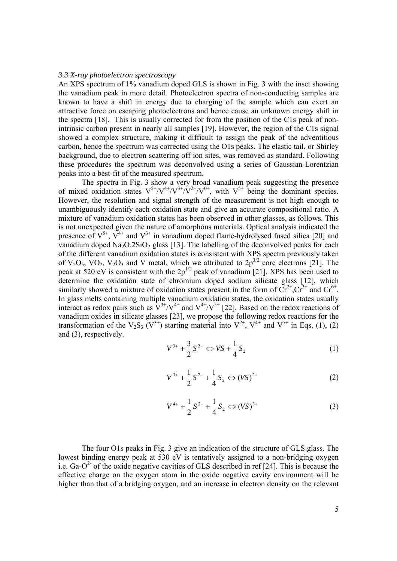#### *3.3 X-ray photoelectron spectroscopy*

An XPS spectrum of 1% vanadium doped GLS is shown in Fig. 3 with the inset showing the vanadium peak in more detail. Photoelectron spectra of non-conducting samples are known to have a shift in energy due to charging of the sample which can exert an attractive force on escaping photoelectrons and hence cause an unknown energy shift in the spectra [18]. This is usually corrected for from the position of the C1s peak of nonintrinsic carbon present in nearly all samples [19]. However, the region of the C1s signal showed a complex structure, making it difficult to assign the peak of the adventitious carbon, hence the spectrum was corrected using the O1s peaks. The elastic tail, or Shirley background, due to electron scattering off ion sites, was removed as standard. Following these procedures the spectrum was deconvolved using a series of Gaussian-Lorentzian peaks into a best-fit of the measured spectrum.

 The spectra in Fig. 3 show a very broad vanadium peak suggesting the presence of mixed oxidation states  $V^{5+}/V^{4+}/V^{3+}/V^{2+}/V^{0+}$ , with  $V^{5+}$  being the dominant species. However, the resolution and signal strength of the measurement is not high enough to unambiguously identify each oxidation state and give an accurate compositional ratio. A mixture of vanadium oxidation states has been observed in other glasses, as follows. This is not unexpected given the nature of amorphous materials. Optical analysis indicated the presence of  $V^{5+}$ ,  $\overline{V}^{4+}$  and  $V^{3+}$  in vanadium doped flame-hydrolysed fused silica [20] and vanadium doped  $Na<sub>2</sub>O<sub>2</sub>SiO<sub>2</sub>$  glass [13]. The labelling of the deconvolved peaks for each of the different vanadium oxidation states is consistent with XPS spectra previously taken of  $V_2O_5$ ,  $VO_2$ ,  $V_2O_3$  and V metal, which we attributed to  $2p^{3/2}$  core electrons [21]. The peak at 520 eV is consistent with the  $2p^{1/2}$  peak of vanadium [21]. XPS has been used to determine the oxidation state of chromium doped sodium silicate glass [12], which similarly showed a mixture of oxidation states present in the form of  $Cr^{2+}$ ,  $Cr^{3+}$  and  $Cr^{6+}$ . In glass melts containing multiple vanadium oxidation states, the oxidation states usually interact as redox pairs such as  $V^{3+}/V^{4+}$  and  $V^{4+}/V^{5+}$  [22]. Based on the redox reactions of vanadium oxides in silicate glasses [23], we propose the following redox reactions for the transformation of the V<sub>2</sub>S<sub>3</sub> (V<sup>3+</sup>) starting material into V<sup>2+</sup>, V<sup>4+</sup> and V<sup>5+</sup> in Eqs. (1), (2) and (3), respectively.

$$
V^{3+} + \frac{3}{2}S^{2-} \Leftrightarrow VS + \frac{1}{4}S_2
$$
 (1)

$$
V^{3+} + \frac{1}{2}S^{2-} + \frac{1}{4}S_2 \Leftrightarrow (VS)^{2+}
$$
 (2)

$$
V^{4+} + \frac{1}{2}S^{2-} + \frac{1}{4}S_2 \Leftrightarrow (VS)^{3+}
$$
 (3)

 The four O1s peaks in Fig. 3 give an indication of the structure of GLS glass. The lowest binding energy peak at 530 eV is tentatively assigned to a non-bridging oxygen i.e.  $Ga-O^2$  of the oxide negative cavities of GLS described in ref [24]. This is because the effective charge on the oxygen atom in the oxide negative cavity environment will be higher than that of a bridging oxygen, and an increase in electron density on the relevant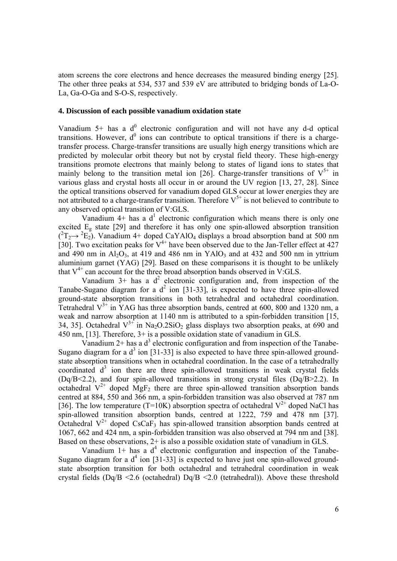atom screens the core electrons and hence decreases the measured binding energy [25]. The other three peaks at 534, 537 and 539 eV are attributed to bridging bonds of La-O-La, Ga-O-Ga and S-O-S, respectively.

### **4. Discussion of each possible vanadium oxidation state**

Vanadium  $5+$  has a d<sup>0</sup> electronic configuration and will not have any d-d optical transitions. However,  $d^0$  ions can contribute to optical transitions if there is a chargetransfer process. Charge-transfer transitions are usually high energy transitions which are predicted by molecular orbit theory but not by crystal field theory. These high-energy transitions promote electrons that mainly belong to states of ligand ions to states that mainly belong to the transition metal ion [26]. Charge-transfer transitions of  $V^{5+}$  in various glass and crystal hosts all occur in or around the UV region [13, 27, 28]. Since the optical transitions observed for vanadium doped GLS occur at lower energies they are not attributed to a charge-transfer transition. Therefore  $V^{5+}$  is not believed to contribute to any observed optical transition of V:GLS.

Vanadium  $4+$  has a  $d<sup>1</sup>$  electronic configuration which means there is only one excited  $E<sub>g</sub>$  state [29] and therefore it has only one spin-allowed absorption transition  $(^{2}T_{2} \rightarrow ^{2}E_{2})$ . Vanadium 4+ doped CaYAlO<sub>4</sub> displays a broad absorption band at 500 nm [30]. Two excitation peaks for  $V^{4+}$  have been observed due to the Jan-Teller effect at 427 and 490 nm in  $A<sub>1</sub>_{\text{O}_3}$  at 419 and 486 nm in YAlO<sub>3</sub> and at 432 and 500 nm in yttrium aluminium garnet (YAG) [29]. Based on these comparisons it is thought to be unlikely that  $V^{4+}$  can account for the three broad absorption bands observed in V:GLS.

Vanadium  $3+$  has a  $d^2$  electronic configuration and, from inspection of the Tanabe-Sugano diagram for a  $d^2$  ion [31-33], is expected to have three spin-allowed ground-state absorption transitions in both tetrahedral and octahedral coordination. Tetrahedral  $V^{3+}$  in YAG has three absorption bands, centred at 600, 800 and 1320 nm, a weak and narrow absorption at 1140 nm is attributed to a spin-forbidden transition [15, 34, 35]. Octahedral  $V^{3+}$  in Na<sub>2</sub>O.2SiO<sub>2</sub> glass displays two absorption peaks, at 690 and 450 nm, [13]. Therefore, 3+ is a possible oxidation state of vanadium in GLS.

Vanadium  $2+$  has a  $d^3$  electronic configuration and from inspection of the Tanabe-Sugano diagram for a  $d^3$  ion [31-33] is also expected to have three spin-allowed groundstate absorption transitions when in octahedral coordination. In the case of a tetrahedrally coordinated  $d^3$  ion there are three spin-allowed transitions in weak crystal fields (Dq/B<2.2), and four spin-allowed transitions in strong crystal files (Dq/B>2.2). In octahedral  $V^{2+}$  doped MgF<sub>2</sub> there are three spin-allowed transition absorption bands centred at 884, 550 and 366 nm, a spin-forbidden transition was also observed at 787 nm [36]. The low temperature (T=10K) absorption spectra of octahedral  $V^{2+}$  doped NaCl has spin-allowed transition absorption bands, centred at 1222, 759 and 478 nm [37]. Octahedral  $V^{2+}$  doped CsCaF<sub>3</sub> has spin-allowed transition absorption bands centred at 1067, 662 and 424 nm, a spin-forbidden transition was also observed at 794 nm and [38]. Based on these observations, 2+ is also a possible oxidation state of vanadium in GLS.

Vanadium  $1+$  has a  $d<sup>4</sup>$  electronic configuration and inspection of the Tanabe-Sugano diagram for a  $d^4$  ion [31-33] is expected to have just one spin-allowed groundstate absorption transition for both octahedral and tetrahedral coordination in weak crystal fields (Dq/B <2.6 (octahedral) Dq/B <2.0 (tetrahedral)). Above these threshold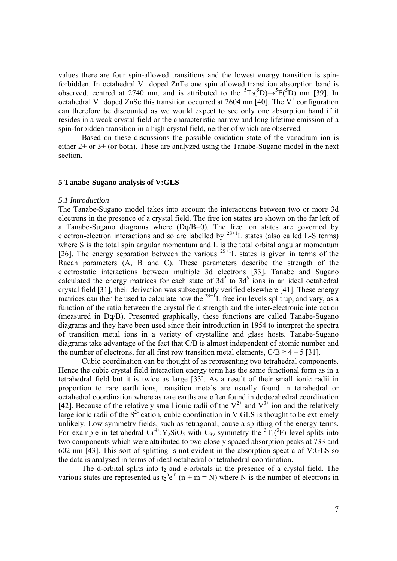values there are four spin-allowed transitions and the lowest energy transition is spinforbidden. In octahedral  $V^+$  doped ZnTe one spin allowed transition absorption band is observed, centred at 2740 nm, and is attributed to the  ${}^{5}T_{2}({}^{5}D) \rightarrow {}^{5}E({}^{5}D)$  nm [39]. In octahedral V<sup>+</sup> doped ZnSe this transition occurred at 2604 nm [40]. The V<sup>+</sup> configuration can therefore be discounted as we would expect to see only one absorption band if it resides in a weak crystal field or the characteristic narrow and long lifetime emission of a spin-forbidden transition in a high crystal field, neither of which are observed.

 Based on these discussions the possible oxidation state of the vanadium ion is either 2+ or 3+ (or both). These are analyzed using the Tanabe-Sugano model in the next section.

## **5 Tanabe-Sugano analysis of V:GLS**

## *5.1 Introduction*

The Tanabe-Sugano model takes into account the interactions between two or more 3d electrons in the presence of a crystal field. The free ion states are shown on the far left of a Tanabe-Sugano diagrams where (Dq/B=0). The free ion states are governed by electron-electron interactions and so are labelled by  $^{2S+1}$ L states (also called L-S terms) where S is the total spin angular momentum and L is the total orbital angular momentum [26]. The energy separation between the various  $2S+1$  states is given in terms of the Racah parameters (A, B and C). These parameters describe the strength of the electrostatic interactions between multiple 3d electrons [33]. Tanabe and Sugano calculated the energy matrices for each state of  $3d^2$  to  $3d^5$  ions in an ideal octahedral crystal field [31], their derivation was subsequently verified elsewhere [41]. These energy matrices can then be used to calculate how the  $2S+1$ <sup>L</sup> free ion levels split up, and vary, as a function of the ratio between the crystal field strength and the inter-electronic interaction (measured in Dq/B). Presented graphically, these functions are called Tanabe-Sugano diagrams and they have been used since their introduction in 1954 to interpret the spectra of transition metal ions in a variety of crystalline and glass hosts. Tanabe-Sugano diagrams take advantage of the fact that C/B is almost independent of atomic number and the number of electrons, for all first row transition metal elements,  $C/B \approx 4-5$  [31].

 Cubic coordination can be thought of as representing two tetrahedral components. Hence the cubic crystal field interaction energy term has the same functional form as in a tetrahedral field but it is twice as large [33]. As a result of their small ionic radii in proportion to rare earth ions, transition metals are usually found in tetrahedral or octahedral coordination where as rare earths are often found in dodecahedral coordination [42]. Because of the relatively small ionic radii of the  $V^{2+}$  and  $V^{3+}$  ion and the relatively large ionic radii of the  $S<sup>2</sup>$  cation, cubic coordination in V:GLS is thought to be extremely unlikely. Low symmetry fields, such as tetragonal, cause a splitting of the energy terms. For example in tetrahedral  $Cr^{4+}$ : Y<sub>2</sub>SiO<sub>5</sub> with C<sub>3*v*</sub> symmetry the <sup>3</sup>T<sub>1</sub>(<sup>3</sup>F) level splits into two components which were attributed to two closely spaced absorption peaks at 733 and 602 nm [43]. This sort of splitting is not evident in the absorption spectra of V:GLS so the data is analysed in terms of ideal octahedral or tetrahedral coordination.

The d-orbital splits into  $t_2$  and e-orbitals in the presence of a crystal field. The various states are represented as  $t_2^{\text{n}}e^{\text{m}}$  (n + m = N) where N is the number of electrons in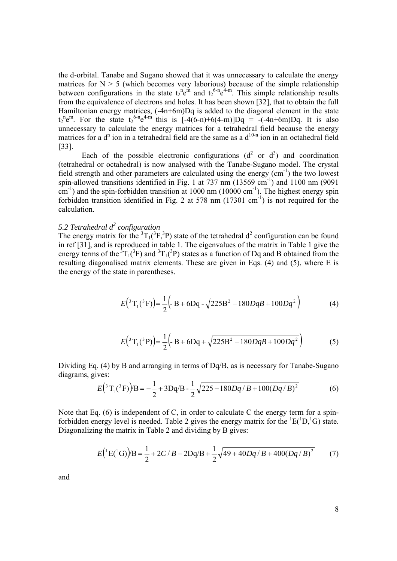the d-orbital. Tanabe and Sugano showed that it was unnecessary to calculate the energy matrices for  $N > 5$  (which becomes very laborious) because of the simple relationship between configurations in the state  $t_2^{\text{n}}e^{\text{m}}$  and  $t_2^{\text{6-n}}e^{4-m}$ . This simple relationship results from the equivalence of electrons and holes. It has been shown [32], that to obtain the full Hamiltonian energy matrices, (-4n+6m)Dq is added to the diagonal element in the state  $t_2^{\text{ne}}$ . For the state  $t_2^{\text{6-n}}e^{4-m}$  this is  $[-4(6-n)+6(4-m)]Dq = -(-4n+6m)Dq$ . It is also unnecessary to calculate the energy matrices for a tetrahedral field because the energy matrices for a  $d^n$  ion in a tetrahedral field are the same as a  $d^{10-n}$  ion in an octahedral field [33].

Each of the possible electronic configurations  $(d^2$  or  $d^3)$  and coordination (tetrahedral or octahedral) is now analysed with the Tanabe-Sugano model. The crystal field strength and other parameters are calculated using the energy  $\text{cm}^{-1}$ ) the two lowest spin-allowed transitions identified in Fig. 1 at  $737 \text{ nm}$  (13569 cm<sup>-1</sup>) and 1100 nm (9091)  $\text{cm}^{-1}$ ) and the spin-forbidden transition at 1000 nm (10000 cm<sup>-1</sup>). The highest energy spin forbidden transition identified in Fig. 2 at 578 nm  $(17301 \text{ cm}^{-1})$  is not required for the calculation.

# *5.2 Tetrahedral d<sup>2</sup> configuration*

The energy matrix for the  ${}^{3}T_{1}({}^{3}F, {}^{3}P)$  state of the tetrahedral d<sup>2</sup> configuration can be found in ref [31], and is reproduced in table 1. The eigenvalues of the matrix in Table 1 give the energy terms of the  ${}^{3}T_{1}({}^{3}F)$  and  ${}^{3}T_{1}({}^{3}P)$  states as a function of Dq and B obtained from the resulting diagonalised matrix elements. These are given in Eqs. (4) and (5), where E is the energy of the state in parentheses.

$$
E(^3\,\mathrm{T}_1(^3\,\mathrm{F})\big) = \frac{1}{2} \Big( B + 6Dq - \sqrt{225B^2 - 180DqB + 100Dq^2} \Big) \tag{4}
$$

$$
E(^3\mathrm{T}_1(^3\mathrm{P})\big) = \frac{1}{2} \Big( B + 6\mathrm{Dq} + \sqrt{225\mathrm{B}^2 - 180DqB + 100Dq^2} \Big) \tag{5}
$$

Dividing Eq. (4) by B and arranging in terms of Dq/B, as is necessary for Tanabe-Sugano diagrams, gives:

$$
E(^3T_1(^3F))B = -\frac{1}{2} + 3Dq/B - \frac{1}{2}\sqrt{225 - 180Dq/B + 100(Dq/B)^2}
$$
 (6)

Note that Eq. (6) is independent of C, in order to calculate C the energy term for a spinforbidden energy level is needed. Table 2 gives the energy matrix for the  ${}^{1}E({}^{1}D,{}^{1}G)$  state. Diagonalizing the matrix in Table 2 and dividing by B gives:

$$
E({}^{1}E({}^{1}G))B = \frac{1}{2} + 2C/B - 2Dq/B + \frac{1}{2}\sqrt{49 + 40Dq/B + 400(Dq/B)^{2}}
$$
(7)

and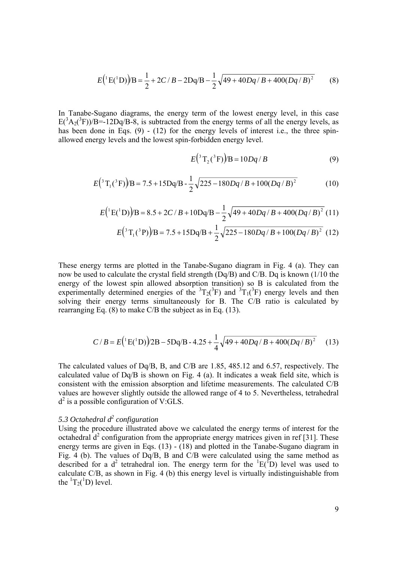$$
E({}^{1}E({}^{1}D))B = \frac{1}{2} + 2C/B - 2Dq/B - \frac{1}{2}\sqrt{49 + 40Dq/B + 400(Dq/B)^{2}}
$$
(8)

In Tanabe-Sugano diagrams, the energy term of the lowest energy level, in this case  $E(^{3}A_{2}(^{3}F))/B = 12Dq/B-8$ , is subtracted from the energy terms of all the energy levels, as has been done in Eqs.  $(9)$  -  $(12)$  for the energy levels of interest i.e., the three spinallowed energy levels and the lowest spin-forbidden energy level.

$$
E(^3T_2(^3F))/B = 10Dq/B
$$
 (9)

$$
E(^3\mathrm{T}_1(^3\mathrm{F})/B = 7.5 + 15\mathrm{Dq/B} - \frac{1}{2}\sqrt{225 - 180Dq/B + 100(Dq/B)^2}
$$
(10)

$$
E({}^{1}E({}^{1}D))B = 8.5 + 2C/B + 10Dq/B - \frac{1}{2}\sqrt{49 + 40Dq/B + 400(Dq/B)^{2}} (11)
$$

$$
E(^3\,\mathrm{T}_1(^3\,\mathrm{P})\big/B = 7.5 + 15\,\mathrm{Dq/B} + \frac{1}{2}\sqrt{225 - 180Dq/B + 100(Dq/B)^2} \tag{12}
$$

These energy terms are plotted in the Tanabe-Sugano diagram in Fig. 4 (a). They can now be used to calculate the crystal field strength (Dq/B) and C/B. Dq is known (1/10 the energy of the lowest spin allowed absorption transition) so B is calculated from the experimentally determined energies of the  ${}^{3}T_{2}({}^{3}F)$  and  ${}^{3}T_{1}({}^{3}F)$  energy levels and then solving their energy terms simultaneously for B. The C/B ratio is calculated by rearranging Eq. (8) to make C/B the subject as in Eq. (13).

$$
C/B = E(^{1}E(^{1}D))/2B - 5Dq/B - 4.25 + \frac{1}{4}\sqrt{49 + 40Dq/B + 400(Dq/B)^{2}}
$$
 (13)

The calculated values of Dq/B, B, and C/B are 1.85, 485.12 and 6.57, respectively. The calculated value of Dq/B is shown on Fig. 4 (a). It indicates a weak field site, which is consistent with the emission absorption and lifetime measurements. The calculated C/B values are however slightly outside the allowed range of 4 to 5. Nevertheless, tetrahedral  $d^2$  is a possible configuration of V:GLS.

# *5.3 Octahedral d<sup>2</sup> configuration*

Using the procedure illustrated above we calculated the energy terms of interest for the octahedral  $d^2$  configuration from the appropriate energy matrices given in ref [31]. These energy terms are given in Eqs. (13) - (18) and plotted in the Tanabe-Sugano diagram in Fig. 4 (b). The values of Dq/B, B and C/B were calculated using the same method as described for a d<sup>2</sup> tetrahedral ion. The energy term for the  ${}^{1}E({}^{1}D)$  level was used to calculate C/B, as shown in Fig. 4 (b) this energy level is virtually indistinguishable from the  ${}^{1}T_{2}({}^{1}D)$  level.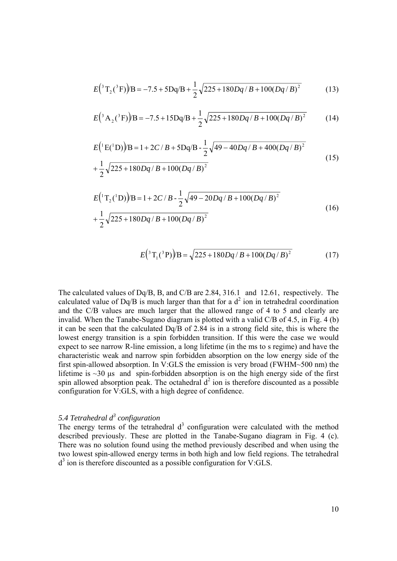$$
E(^3T_2(^3F))B = -7.5 + 5Dq/B + \frac{1}{2}\sqrt{225 + 180Dq/B + 100(Dq/B)^2}
$$
 (13)

$$
E(^{3}A_{2}(^{3}F))B = -7.5 + 15Dq/B + \frac{1}{2}\sqrt{225 + 180Dq/B + 100(Dq/B)^{2}}
$$
 (14)

$$
E({}^{1}E({}^{1}D))/B = 1 + 2C/B + 5Dq/B - \frac{1}{2}\sqrt{49 - 40Dq/B + 400(Dq/B)^{2}}
$$
  
+ 
$$
\frac{1}{2}\sqrt{225 + 180Dq/B + 100(Dq/B)^{2}}
$$
(15)

$$
E({}^{1}T_{2}({}^{1}D))B = 1 + 2C/B - \frac{1}{2}\sqrt{49 - 20Dq/B + 100(Dq/B)^{2}}
$$
  
+ 
$$
\frac{1}{2}\sqrt{225 + 180Dq/B + 100(Dq/B)^{2}}
$$
(16)

$$
E(^3T_1(^3P))B = \sqrt{225 + 180Dq/B + 100(Dq/B)^2}
$$
 (17)

The calculated values of Dq/B, B, and C/B are 2.84, 316.1 and 12.61, respectively. The calculated value of Dq/B is much larger than that for a  $d^2$  ion in tetrahedral coordination and the C/B values are much larger that the allowed range of 4 to 5 and clearly are invalid. When the Tanabe-Sugano diagram is plotted with a valid C/B of 4.5, in Fig. 4 (b) it can be seen that the calculated Dq/B of 2.84 is in a strong field site, this is where the lowest energy transition is a spin forbidden transition. If this were the case we would expect to see narrow R-line emission, a long lifetime (in the ms to s regime) and have the characteristic weak and narrow spin forbidden absorption on the low energy side of the first spin-allowed absorption. In V:GLS the emission is very broad (FWHM~500 nm) the lifetime is  $\sim$ 30 μs and spin-forbidden absorption is on the high energy side of the first spin allowed absorption peak. The octahedral  $d^2$  ion is therefore discounted as a possible configuration for V:GLS, with a high degree of confidence.

# *5.4 Tetrahedral d<sup>3</sup> configuration*

The energy terms of the tetrahedral  $d<sup>3</sup>$  configuration were calculated with the method described previously. These are plotted in the Tanabe-Sugano diagram in Fig. 4 (c). There was no solution found using the method previously described and when using the two lowest spin-allowed energy terms in both high and low field regions. The tetrahedral d<sup>3</sup> ion is therefore discounted as a possible configuration for V:GLS.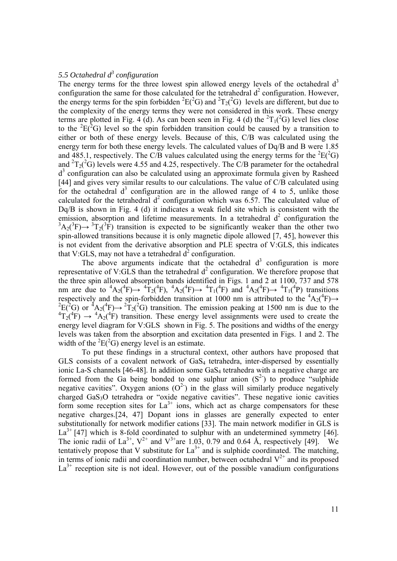# *5.5 Octahedral d<sup>3</sup> configuration*

The energy terms for the three lowest spin allowed energy levels of the octahedral  $d<sup>3</sup>$ configuration the same for those calculated for the tetrahedral  $d^2$  configuration. However, the energy terms for the spin forbidden <sup>2</sup>E(<sup>2</sup>G) and <sup>2</sup>T<sub>2</sub>(<sup>2</sup>G) levels are different, but due to the complexity of the energy terms they were not considered in this work. These energy terms are plotted in Fig. 4 (d). As can been seen in Fig. 4 (d) the  ${}^{2}T_{1}({}^{2}G)$  level lies close to the  ${}^{2}E(^{2}G)$  level so the spin forbidden transition could be caused by a transition to either or both of these energy levels. Because of this, C/B was calculated using the energy term for both these energy levels. The calculated values of Dq/B and B were 1.85 and 485.1, respectively. The C/B values calculated using the energy terms for the  ${}^{2}E(^{2}G)$ and  ${}^{2}T_{2}(^{2}G)$  levels were 4.55 and 4.25, respectively. The C/B parameter for the octahedral d<sup>3</sup> configuration can also be calculated using an approximate formula given by Rasheed [44] and gives very similar results to our calculations. The value of C/B calculated using for the octahedral  $d^3$  configuration are in the allowed range of 4 to 5, unlike those calculated for the tetrahedral  $d^2$  configuration which was 6.57. The calculated value of Dq/B is shown in Fig. 4 (d) it indicates a weak field site which is consistent with the emission, absorption and lifetime measurements. In a tetrahedral  $d<sup>2</sup>$  configuration the  ${}^3A_2({}^3F) \rightarrow {}^3T_2({}^3F)$  transition is expected to be significantly weaker than the other two spin-allowed transitions because it is only magnetic dipole allowed [7, 45], however this is not evident from the derivative absorption and PLE spectra of V:GLS, this indicates that V:GLS, may not have a tetrahedral  $d^2$  configuration.

The above arguments indicate that the octahedral  $d<sup>3</sup>$  configuration is more representative of V:GLS than the tetrahedral  $d^2$  configuration. We therefore propose that the three spin allowed absorption bands identified in Figs. 1 and 2 at 1100, 737 and 578 nm are due to  ${}^4A_2({}^4F) \rightarrow {}^4T_2({}^4F)$ ,  ${}^4A_2({}^4F) \rightarrow {}^4T_1({}^4F)$  and  ${}^4A_2({}^4F) \rightarrow {}^4T_1({}^4P)$  transitions respectively and the spin-forbidden transition at 1000 nm is attributed to the  ${}^4A_2({}^4F) \rightarrow {}^2E({}^2G)$  or  ${}^4A_2({}^4F) \rightarrow {}^2T_2({}^2G)$  transition. The emission peaking at 1500 nm is due to the  ${}^{4}T_{2}({}^{4}F) \rightarrow {}^{4}A_{2}({}^{4}F)$  transition. These energy level assignments were used to create the energy level diagram for V:GLS shown in Fig. 5. The positions and widths of the energy levels was taken from the absorption and excitation data presented in Figs. 1 and 2. The width of the  ${}^{2}E(^{2}G)$  energy level is an estimate.

To put these findings in a structural context, other authors have proposed that GLS consists of a covalent network of  $GaS<sub>4</sub>$  tetrahedra, inter-dispersed by essentially ionic La-S channels [46-48]. In addition some GaS<sub>4</sub> tetrahedra with a negative charge are formed from the Ga being bonded to one sulphur anion  $(S^2)$  to produce "sulphide" negative cavities". Oxygen anions  $(O^2)$  in the glass will similarly produce negatively charged GaS3O tetrahedra or "oxide negative cavities". These negative ionic cavities form some reception sites for  $La^{3+}$  ions, which act as charge compensators for these negative charges.[24, 47] Dopant ions in glasses are generally expected to enter substitutionally for network modifier cations [33]. The main network modifier in GLS is  $La^{3+}$  [47] which is 8-fold coordinated to sulphur with an undetermined symmetry [46]. The ionic radii of  $La^{3+}$ ,  $V^{2+}$  and  $V^{3+}$ are 1.03, 0.79 and 0.64 Å, respectively [49]. We tentatively propose that V substitute for  $La^{3+}$  and is sulphide coordinated. The matching, in terms of ionic radii and coordination number, between octahedral  $V^{2+}$  and its proposed  $La^{3+}$  reception site is not ideal. However, out of the possible vanadium configurations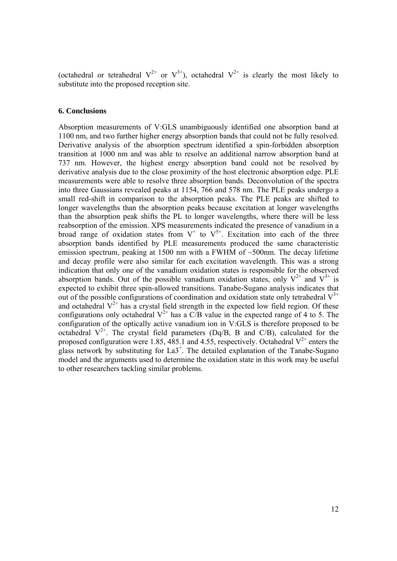(octahedral or tetrahedral  $V^{2+}$  or  $V^{3+}$ ), octahedral  $V^{2+}$  is clearly the most likely to substitute into the proposed reception site.

# **6. Conclusions**

Absorption measurements of V:GLS unambiguously identified one absorption band at 1100 nm, and two further higher energy absorption bands that could not be fully resolved. Derivative analysis of the absorption spectrum identified a spin-forbidden absorption transition at 1000 nm and was able to resolve an additional narrow absorption band at 737 nm. However, the highest energy absorption band could not be resolved by derivative analysis due to the close proximity of the host electronic absorption edge. PLE measurements were able to resolve three absorption bands. Deconvolution of the spectra into three Gaussians revealed peaks at 1154, 766 and 578 nm. The PLE peaks undergo a small red-shift in comparison to the absorption peaks. The PLE peaks are shifted to longer wavelengths than the absorption peaks because excitation at longer wavelengths than the absorption peak shifts the PL to longer wavelengths, where there will be less reabsorption of the emission. XPS measurements indicated the presence of vanadium in a broad range of oxidation states from  $V^+$  to  $V^{5+}$ . Excitation into each of the three absorption bands identified by PLE measurements produced the same characteristic emission spectrum, peaking at 1500 nm with a FWHM of  $\sim$ 500 nm. The decay lifetime and decay profile were also similar for each excitation wavelength. This was a strong indication that only one of the vanadium oxidation states is responsible for the observed absorption bands. Out of the possible vanadium oxidation states, only  $V^{2+}$  and  $V^{3+}$  is expected to exhibit three spin-allowed transitions. Tanabe-Sugano analysis indicates that out of the possible configurations of coordination and oxidation state only tetrahedral  $V^{3+}$ and octahedral  $V^{2+}$  has a crystal field strength in the expected low field region. Of these configurations only octahedral  $V^{2+}$  has a  $C/B$  value in the expected range of 4 to 5. The configuration of the optically active vanadium ion in V:GLS is therefore proposed to be octahedral  $V^{2+}$ . The crystal field parameters (Dq/B, B and C/B), calculated for the proposed configuration were 1.85, 485.1 and 4.55, respectively. Octahedral  $V^{2+}$  enters the glass network by substituting for  $La3^+$ . The detailed explanation of the Tanabe-Sugano model and the arguments used to determine the oxidation state in this work may be useful to other researchers tackling similar problems.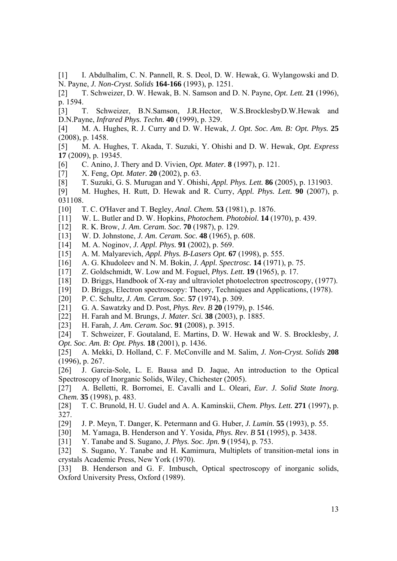[1] I. Abdulhalim, C. N. Pannell, R. S. Deol, D. W. Hewak, G. Wylangowski and D. N. Payne, *J. Non-Cryst. Solids* **164-166** (1993), p. 1251.

[2] T. Schweizer, D. W. Hewak, B. N. Samson and D. N. Payne, *Opt. Lett.* **21** (1996), p. 1594.

[3] T. Schweizer, B.N.Samson, J.R.Hector, W.S.BrocklesbyD.W.Hewak and D.N.Payne, *Infrared Phys. Techn.* **40** (1999), p. 329.

- [4] M. A. Hughes, R. J. Curry and D. W. Hewak, *J. Opt. Soc. Am. B: Opt. Phys.* **25**  (2008), p. 1458.
- [5] M. A. Hughes, T. Akada, T. Suzuki, Y. Ohishi and D. W. Hewak, *Opt. Express*  **17** (2009), p. 19345.
- [6] C. Anino, J. Thery and D. Vivien, *Opt. Mater.* **8** (1997), p. 121.
- [7] X. Feng, *Opt. Mater.* **20** (2002), p. 63.
- [8] T. Suzuki, G. S. Murugan and Y. Ohishi, *Appl. Phys. Lett.* **86** (2005), p. 131903.
- [9] M. Hughes, H. Rutt, D. Hewak and R. Curry, *Appl. Phys. Lett.* **90** (2007), p. 031108.
- [10] T. C. O'Haver and T. Begley, *Anal. Chem.* **53** (1981), p. 1876.
- [11] W. L. Butler and D. W. Hopkins, *Photochem. Photobiol.* **14** (1970), p. 439.
- [12] R. K. Brow, *J. Am. Ceram. Soc.* **70** (1987), p. 129.
- [13] W. D. Johnstone, *J. Am. Ceram. Soc.* **48** (1965), p. 608.
- [14] M. A. Noginov, *J. Appl. Phys.* **91** (2002), p. 569.
- [15] A. M. Malyarevich, *Appl. Phys. B-Lasers Opt.* **67** (1998), p. 555.
- [16] A. G. Khudoleev and N. M. Bokin, *J. Appl. Spectrosc.* **14** (1971), p. 75.
- [17] Z. Goldschmidt, W. Low and M. Foguel, *Phys. Lett.* **19** (1965), p. 17.
- [18] D. Briggs, Handbook of X-ray and ultraviolet photoelectron spectroscopy, (1977).
- [19] D. Briggs, Electron spectroscopy: Theory, Techniques and Applications, (1978).
- [20] P. C. Schultz, *J. Am. Ceram. Soc.* **57** (1974), p. 309.
- [21] G. A. Sawatzky and D. Post, *Phys. Rev. B* **20** (1979), p. 1546.
- [22] H. Farah and M. Brungs, *J. Mater. Sci.* **38** (2003), p. 1885.
- [23] H. Farah, *J. Am. Ceram. Soc.* **91** (2008), p. 3915.

[24] T. Schweizer, F. Goutaland, E. Martins, D. W. Hewak and W. S. Brocklesby, *J. Opt. Soc. Am. B: Opt. Phys.* **18** (2001), p. 1436.

[25] A. Mekki, D. Holland, C. F. McConville and M. Salim, *J. Non-Cryst. Solids* **208**  (1996), p. 267.

[26] J. Garcia-Sole, L. E. Bausa and D. Jaque, An introduction to the Optical Spectroscopy of Inorganic Solids, Wiley, Chichester (2005).

[27] A. Belletti, R. Borromei, E. Cavalli and L. Oleari, *Eur. J. Solid State Inorg. Chem.* **35** (1998), p. 483.

[28] T. C. Brunold, H. U. Gudel and A. A. Kaminskii, *Chem. Phys. Lett.* **271** (1997), p. 327.

[29] J. P. Meyn, T. Danger, K. Petermann and G. Huber, *J. Lumin.* **55** (1993), p. 55.

[30] M. Yamaga, B. Henderson and Y. Yosida, *Phys. Rev. B* **51** (1995), p. 3438.

[31] Y. Tanabe and S. Sugano, *J. Phys. Soc. Jpn.* **9** (1954), p. 753.

[32] S. Sugano, Y. Tanabe and H. Kamimura, Multiplets of transition-metal ions in crystals Academic Press, New York (1970).

[33] B. Henderson and G. F. Imbusch, Optical spectroscopy of inorganic solids, Oxford University Press, Oxford (1989).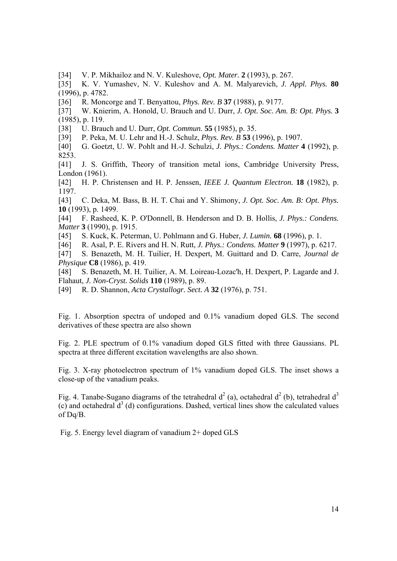[34] V. P. Mikhailoz and N. V. Kuleshove, *Opt. Mater.* **2** (1993), p. 267.

[35] K. V. Yumashev, N. V. Kuleshov and A. M. Malyarevich, *J. Appl. Phys.* **80**  (1996), p. 4782.

[36] R. Moncorge and T. Benyattou, *Phys. Rev. B* **37** (1988), p. 9177.

[37] W. Knierim, A. Honold, U. Brauch and U. Durr, *J. Opt. Soc. Am. B: Opt. Phys.* **3**  (1985), p. 119.

[38] U. Brauch and U. Durr, *Opt. Commun.* **55** (1985), p. 35.

[39] P. Peka, M. U. Lehr and H.-J. Schulz, *Phys. Rev. B* **53** (1996), p. 1907.

[40] G. Goetzt, U. W. Pohlt and H.-J. Schulzi, *J. Phys.: Condens. Matter* **4** (1992), p. 8253.

[41] J. S. Griffith, Theory of transition metal ions, Cambridge University Press, London (1961).

[42] H. P. Christensen and H. P. Jenssen, *IEEE J. Quantum Electron.* **18** (1982), p. 1197.

[43] C. Deka, M. Bass, B. H. T. Chai and Y. Shimony, *J. Opt. Soc. Am. B: Opt. Phys.*  **10** (1993), p. 1499.

[44] F. Rasheed, K. P. O'Donnell, B. Henderson and D. B. Hollis, *J. Phys.: Condens. Matter* **3** (1990), p. 1915.

[45] S. Kuck, K. Peterman, U. Pohlmann and G. Huber, *J. Lumin.* **68** (1996), p. 1.

[46] R. Asal, P. E. Rivers and H. N. Rutt, *J. Phys.: Condens. Matter* **9** (1997), p. 6217.

[47] S. Benazeth, M. H. Tuilier, H. Dexpert, M. Guittard and D. Carre, *Journal de Physique* **C8** (1986), p. 419.

[48] S. Benazeth, M. H. Tuilier, A. M. Loireau-Lozac'h, H. Dexpert, P. Lagarde and J. Flahaut, *J. Non-Cryst. Solids* **110** (1989), p. 89.

[49] R. D. Shannon, *Acta Crystallogr. Sect. A* **32** (1976), p. 751.

Fig. 1. Absorption spectra of undoped and 0.1% vanadium doped GLS. The second derivatives of these spectra are also shown

Fig. 2. PLE spectrum of 0.1% vanadium doped GLS fitted with three Gaussians. PL spectra at three different excitation wavelengths are also shown.

Fig. 3. X-ray photoelectron spectrum of 1% vanadium doped GLS. The inset shows a close-up of the vanadium peaks.

Fig. 4. Tanabe-Sugano diagrams of the tetrahedral  $d^2$  (a), octahedral  $d^2$  (b), tetrahedral  $d^3$  $(c)$  and octahedral  $d<sup>3</sup>$  (d) configurations. Dashed, vertical lines show the calculated values of Dq/B.

Fig. 5. Energy level diagram of vanadium 2+ doped GLS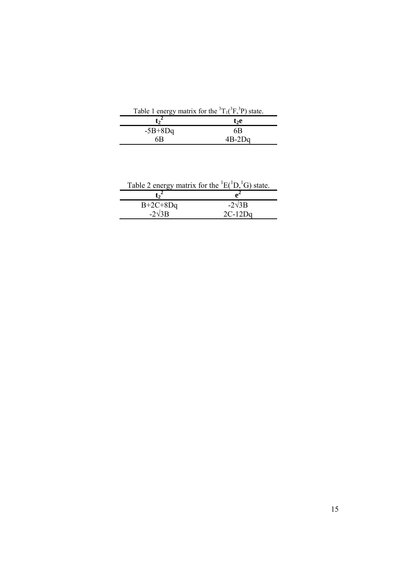| Table 1 energy matrix for the ${}^{3}T_{1}({}^{3}F, {}^{3}P)$ state. |  |
|----------------------------------------------------------------------|--|
| t <sub>2</sub> e                                                     |  |
| 6B                                                                   |  |
| $4B-2Dq$                                                             |  |
|                                                                      |  |

| Table 2 energy matrix for the ${}^{1}E({}^{1}D,{}^{1}G)$ state. |               |
|-----------------------------------------------------------------|---------------|
| $\mathbf{t}$ <sup><math>\epsilon</math></sup>                   |               |
| $B+2C+8Dq$                                                      | $-2\sqrt{3}B$ |
| $-2\sqrt{3}B$                                                   | $2C-12Da$     |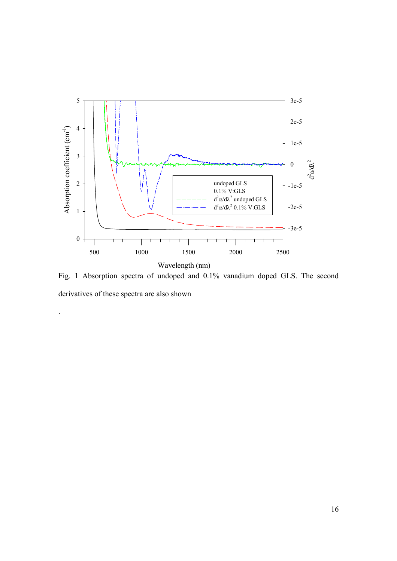

Fig. 1 Absorption spectra of undoped and 0.1% vanadium doped GLS. The second derivatives of these spectra are also shown

.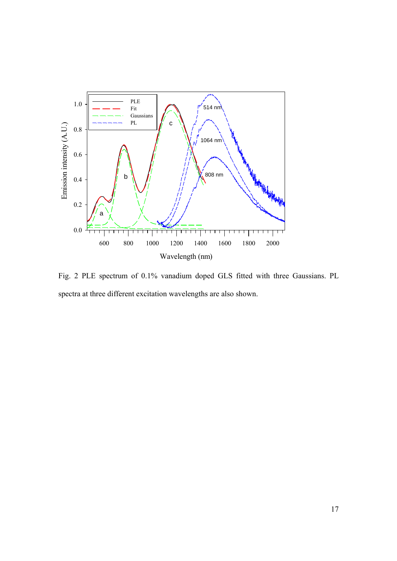

Fig. 2 PLE spectrum of 0.1% vanadium doped GLS fitted with three Gaussians. PL spectra at three different excitation wavelengths are also shown.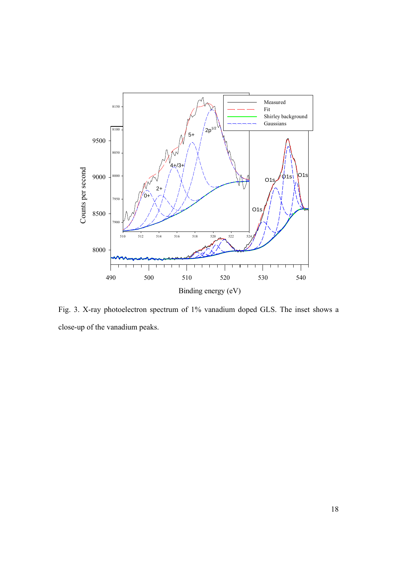

Fig. 3. X-ray photoelectron spectrum of 1% vanadium doped GLS. The inset shows a close-up of the vanadium peaks.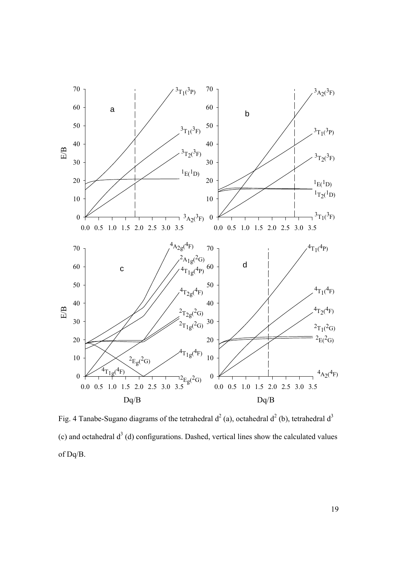

Fig. 4 Tanabe-Sugano diagrams of the tetrahedral  $d^2$  (a), octahedral  $d^2$  (b), tetrahedral  $d^3$ (c) and octahedral  $d<sup>3</sup>$  (d) configurations. Dashed, vertical lines show the calculated values of Dq/B.